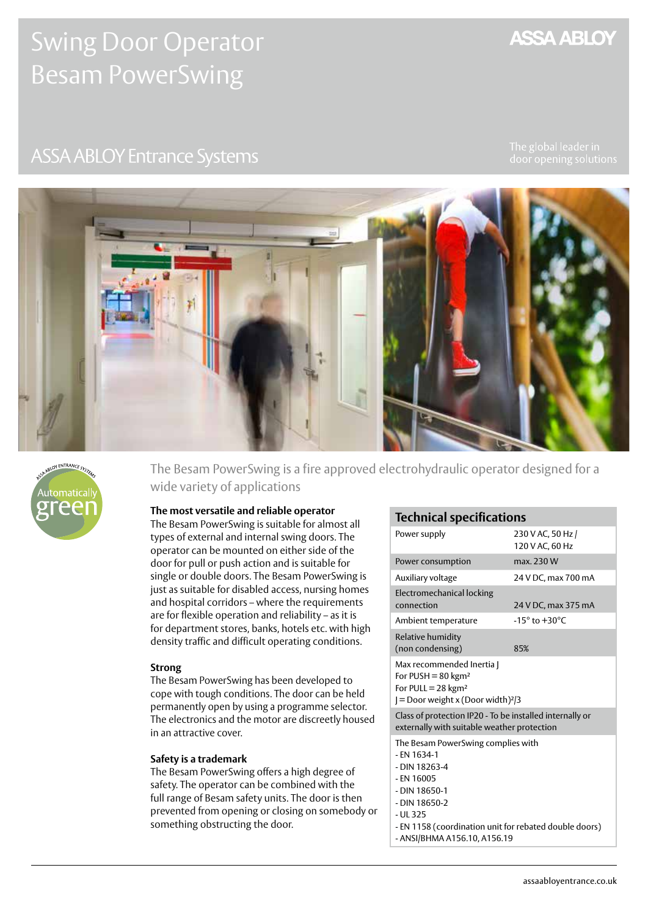# Swing Door Operator Besam PowerSwing

# **ASSA ABLOY Entrance Systems**

**ASSA ABLOY** 





The Besam PowerSwing is a fire approved electrohydraulic operator designed for a wide variety of applications

#### **The most versatile and reliable operator**

The Besam PowerSwing is suitable for almost all types of external and internal swing doors. The operator can be mounted on either side of the door for pull or push action and is suitable for single or double doors. The Besam PowerSwing is just as suitable for disabled access, nursing homes and hospital corridors – where the requirements are for flexible operation and reliability – as it is for department stores, banks, hotels etc. with high density traffic and difficult operating conditions.

#### **Strong**

The Besam PowerSwing has been developed to cope with tough conditions. The door can be held permanently open by using a programme selector. The electronics and the motor are discreetly housed in an attractive cover.

#### **Safety is a trademark**

The Besam PowerSwing offers a high degree of safety. The operator can be combined with the full range of Besam safety units. The door is then prevented from opening or closing on somebody or something obstructing the door.

# **Technical specifications**

| Power supply                                                                                                                                                      | 230 V AC, 50 Hz /<br>120 V AC, 60 Hz |
|-------------------------------------------------------------------------------------------------------------------------------------------------------------------|--------------------------------------|
| Power consumption                                                                                                                                                 | max. 230 W                           |
| Auxiliary voltage                                                                                                                                                 | 24 V DC, max 700 mA                  |
| Electromechanical locking<br>connection                                                                                                                           | 24 V DC, max 375 mA                  |
| Ambient temperature                                                                                                                                               | $-15^\circ$ to $+30^\circ$ C         |
| Relative humidity<br>(non condensing)                                                                                                                             | 85%                                  |
| Max recommended Inertia  <br>For PUSH = $80 \text{ kg}$ m <sup>2</sup><br>For PULL = $28 \text{ kg} \text{m}^2$<br>$=$ Door weight x (Door width) <sup>2</sup> /3 |                                      |
| Class of protection IP20 - To be installed internally or<br>externally with suitable weather protection                                                           |                                      |
| The Besam PowerSwing complies with<br>- EN 1634-1<br>- DIN 18263-4<br>- EN 16005<br>- DIN 18650-1<br>- DIN 18650-2                                                |                                      |

- UL 325
- EN 1158 (coordination unit for rebated double doors)
- ANSI/BHMA A156.10, A156.19